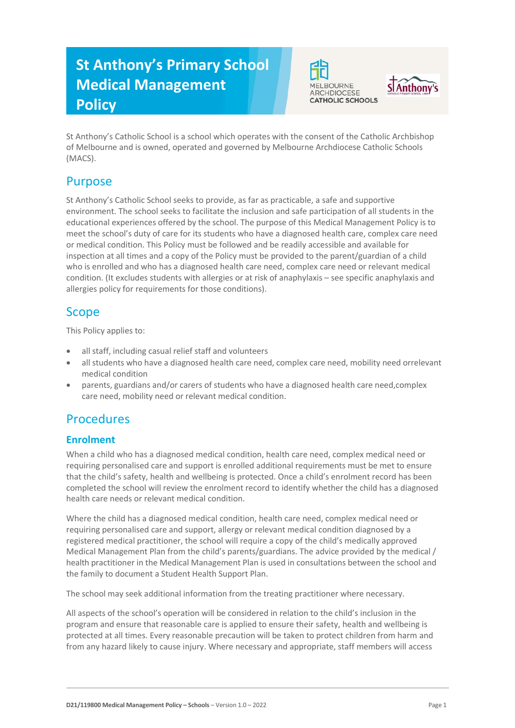# **St Anthony's Primary School Medical Management Policy**





St Anthony's Catholic School is a school which operates with the consent of the Catholic Archbishop of Melbourne and is owned, operated and governed by Melbourne Archdiocese Catholic Schools (MACS).

# Purpose

St Anthony's Catholic School seeks to provide, as far as practicable, a safe and supportive environment. The school seeks to facilitate the inclusion and safe participation of all students in the educational experiences offered by the school. The purpose of this Medical Management Policy is to meet the school's duty of care for its students who have a diagnosed health care, complex care need or medical condition. This Policy must be followed and be readily accessible and available for inspection at all times and a copy of the Policy must be provided to the parent/guardian of a child who is enrolled and who has a diagnosed health care need, complex care need or relevant medical condition. (It excludes students with allergies or at risk of anaphylaxis – see specific anaphylaxis and allergies policy for requirements for those conditions).

# Scope

This Policy applies to:

- all staff, including casual relief staff and volunteers
- all students who have a diagnosed health care need, complex care need, mobility need orrelevant medical condition
- parents, guardians and/or carers of students who have a diagnosed health care need,complex care need, mobility need or relevant medical condition.

# **Procedures**

## **Enrolment**

When a child who has a diagnosed medical condition, health care need, complex medical need or requiring personalised care and support is enrolled additional requirements must be met to ensure that the child's safety, health and wellbeing is protected. Once a child's enrolment record has been completed the school will review the enrolment record to identify whether the child has a diagnosed health care needs or relevant medical condition.

Where the child has a diagnosed medical condition, health care need, complex medical need or requiring personalised care and support, allergy or relevant medical condition diagnosed by a registered medical practitioner, the school will require a copy of the child's medically approved Medical Management Plan from the child's parents/guardians. The advice provided by the medical / health practitioner in the Medical Management Plan is used in consultations between the school and the family to document a Student Health Support Plan.

The school may seek additional information from the treating practitioner where necessary.

All aspects of the school's operation will be considered in relation to the child's inclusion in the program and ensure that reasonable care is applied to ensure their safety, health and wellbeing is protected at all times. Every reasonable precaution will be taken to protect children from harm and from any hazard likely to cause injury. Where necessary and appropriate, staff members will access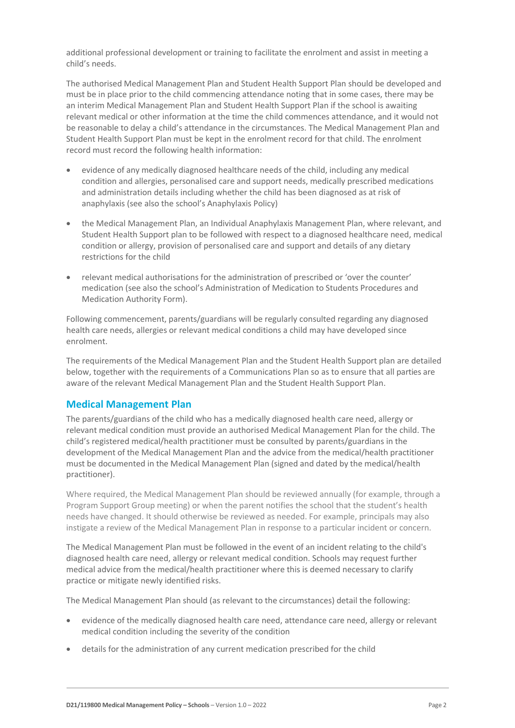additional professional development or training to facilitate the enrolment and assist in meeting a child's needs.

The authorised Medical Management Plan and Student Health Support Plan should be developed and must be in place prior to the child commencing attendance noting that in some cases, there may be an interim Medical Management Plan and Student Health Support Plan if the school is awaiting relevant medical or other information at the time the child commences attendance, and it would not be reasonable to delay a child's attendance in the circumstances. The Medical Management Plan and Student Health Support Plan must be kept in the enrolment record for that child. The enrolment record must record the following health information:

- evidence of any medically diagnosed healthcare needs of the child, including any medical condition and allergies, personalised care and support needs, medically prescribed medications and administration details including whether the child has been diagnosed as at risk of anaphylaxis (see also the school's Anaphylaxis Policy)
- the Medical Management Plan, an Individual Anaphylaxis Management Plan, where relevant, and Student Health Support plan to be followed with respect to a diagnosed healthcare need, medical condition or allergy, provision of personalised care and support and details of any dietary restrictions for the child
- relevant medical authorisations for the administration of prescribed or 'over the counter' medication (see also the school's Administration of Medication to Students Procedures and Medication Authority Form).

Following commencement, parents/guardians will be regularly consulted regarding any diagnosed health care needs, allergies or relevant medical conditions a child may have developed since enrolment.

The requirements of the Medical Management Plan and the Student Health Support plan are detailed below, together with the requirements of a Communications Plan so as to ensure that all parties are aware of the relevant Medical Management Plan and the Student Health Support Plan.

### **Medical Management Plan**

The parents/guardians of the child who has a medically diagnosed health care need, allergy or relevant medical condition must provide an authorised Medical Management Plan for the child. The child's registered medical/health practitioner must be consulted by parents/guardians in the development of the Medical Management Plan and the advice from the medical/health practitioner must be documented in the Medical Management Plan (signed and dated by the medical/health practitioner).

Where required, the Medical Management Plan should be reviewed annually (for example, through a Program Support Group meeting) or when the parent notifies the school that the student's health needs have changed. It should otherwise be reviewed as needed. For example, principals may also instigate a review of the Medical Management Plan in response to a particular incident or concern.

The Medical Management Plan must be followed in the event of an incident relating to the child's diagnosed health care need, allergy or relevant medical condition. Schools may request further medical advice from the medical/health practitioner where this is deemed necessary to clarify practice or mitigate newly identified risks.

The Medical Management Plan should (as relevant to the circumstances) detail the following:

- evidence of the medically diagnosed health care need, attendance care need, allergy or relevant medical condition including the severity of the condition
- details for the administration of any current medication prescribed for the child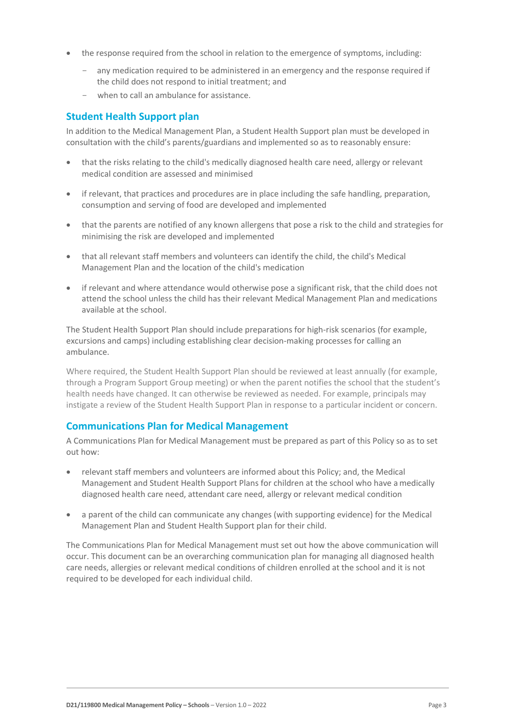- the response required from the school in relation to the emergence of symptoms, including:
	- any medication required to be administered in an emergency and the response required if the child does not respond to initial treatment; and
	- when to call an ambulance for assistance.

### **Student Health Support plan**

In addition to the Medical Management Plan, a Student Health Support plan must be developed in consultation with the child's parents/guardians and implemented so as to reasonably ensure:

- that the risks relating to the child's medically diagnosed health care need, allergy or relevant medical condition are assessed and minimised
- if relevant, that practices and procedures are in place including the safe handling, preparation, consumption and serving of food are developed and implemented
- that the parents are notified of any known allergens that pose a risk to the child and strategies for minimising the risk are developed and implemented
- that all relevant staff members and volunteers can identify the child, the child's Medical Management Plan and the location of the child's medication
- if relevant and where attendance would otherwise pose a significant risk, that the child does not attend the school unless the child has their relevant Medical Management Plan and medications available at the school.

The Student Health Support Plan should include preparations for high-risk scenarios (for example, excursions and camps) including establishing clear decision-making processes for calling an ambulance.

Where required, the Student Health Support Plan should be reviewed at least annually (for example, through a Program Support Group meeting) or when the parent notifies the school that the student's health needs have changed. It can otherwise be reviewed as needed. For example, principals may instigate a review of the Student Health Support Plan in response to a particular incident or concern.

#### **Communications Plan for Medical Management**

A Communications Plan for Medical Management must be prepared as part of this Policy so as to set out how:

- relevant staff members and volunteers are informed about this Policy; and, the Medical Management and Student Health Support Plans for children at the school who have amedically diagnosed health care need, attendant care need, allergy or relevant medical condition
- a parent of the child can communicate any changes (with supporting evidence) for the Medical Management Plan and Student Health Support plan for their child.

The Communications Plan for Medical Management must set out how the above communication will occur. This document can be an overarching communication plan for managing all diagnosed health care needs, allergies or relevant medical conditions of children enrolled at the school and it is not required to be developed for each individual child.